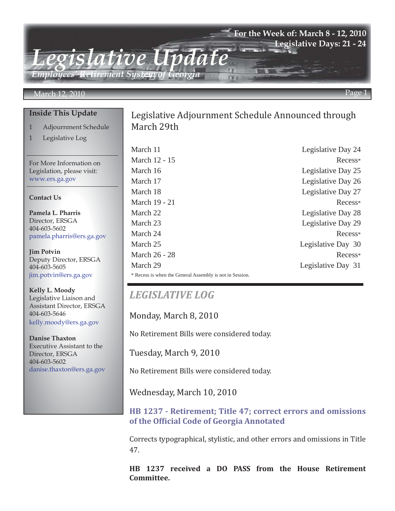### **For the Week of: March 8 - 12, 2010 Legislative Days: 21 - 24**

*Employees' Retirement System of Georgia*

*Legislative Update*

### March 12, 2010 Page 1

### **Inside This Update**

- 1 Adjournment Schedule
- 1 Legislative Log

For More Information on Legislation, please visit: www.ers.ga.gov

#### **Contact Us**

**Pamela L. Pharris** Director, ERSGA 404-603-5602 pamela.pharris@ers.ga.gov

**Jim Potvin** Deputy Director, ERSGA 404-603-5605 jim.potvin@ers.ga.gov

**Kelly L. Moody** Legislative Liaison and Assistant Director, ERSGA 404-603-5646 kelly.moody@ers.ga.gov

**Danise Thaxton** Executive Assistant to the Director, ERSGA 404-603-5602 danise.thaxton@ers.ga.gov

## Legislative Adjournment Schedule Announced through March 29th

March 11 Legislative Day 24 March 12 - 15 Recess\* March 16 Legislative Day 25 March 17 Legislative Day 26 March 18 Legislative Day 27 March 19 - 21 Recess\* March 22 Legislative Day 28 March 23 Legislative Day 29 March 24 Recess\* March 25 Legislative Day 30 March 26 - 28 Recess\* March 29 Legislative Day 31 \* Recess is when the General Assembly is not in Session.

## *LEGISLATIVE LOG*

Monday, March 8, 2010

No Retirement Bills were considered today.

Tuesday, March 9, 2010

No Retirement Bills were considered today.

Wednesday, March 10, 2010

**[HB 1237 - Retirement; Title 47; correct errors and omissions](http://www.legis.ga.gov/legis/2009_10/sum/hb1237.htm) of the Official Code of Georgia Annotated**

Corrects typographical, stylistic, and other errors and omissions in Title 47.

**HB 1237 received a DO PASS from the House Retirement Committee.**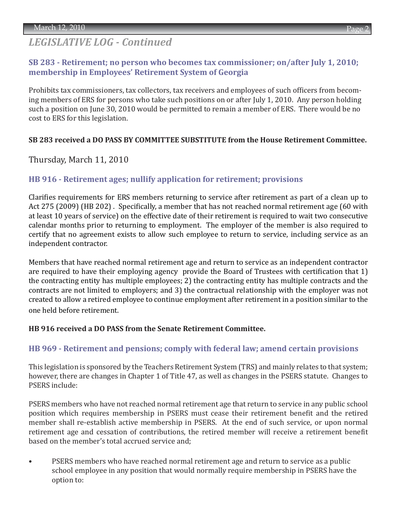# *LEGISLATIVE LOG - Continued*

### **[SB 283 - Retirement; no person who becomes tax commissioner; on/after July 1, 2010;](http://www.legis.ga.gov/legis/2009_10/sum/sb283.htm)  membership in Employees' Retirement System of Georgia**

Prohibits tax commissioners, tax collectors, tax receivers and employees of such officers from becoming members of ERS for persons who take such positions on or after July 1, 2010. Any person holding such a position on June 30, 2010 would be permitted to remain a member of ERS. There would be no cost to ERS for this legislation.

### **SB 283 received a DO PASS BY COMMITTEE SUBSTITUTE from the House Retirement Committee.**

Thursday, March 11, 2010

### **[HB 916 - Retirement ages; nullify application for retirement; provisions](http://www.legis.ga.gov/legis/2009_10/sum/hb916.htm)**

Clarifies requirements for ERS members returning to service after retirement as part of a clean up to Act 275 (2009) (HB 202) . Specifically, a member that has not reached normal retirement age (60 with at least 10 years of service) on the effective date of their retirement is required to wait two consecutive calendar months prior to returning to employment. The employer of the member is also required to certify that no agreement exists to allow such employee to return to service, including service as an independent contractor.

Members that have reached normal retirement age and return to service as an independent contractor are required to have their employing agency provide the Board of Trustees with certification that 1) the contracting entity has multiple employees; 2) the contracting entity has multiple contracts and the contracts are not limited to employers; and 3) the contractual relationship with the employer was not created to allow a retired employee to continue employment after retirement in a position similar to the one held before retirement.

### **HB 916 received a DO PASS from the Senate Retirement Committee.**

### **[HB 969 - Retirement and pensions; comply with federal law; amend certain provisions](http://www.legis.ga.gov/legis/2009_10/sum/hb969.htm)**

This legislation is sponsored by the Teachers Retirement System (TRS) and mainly relates to that system; however, there are changes in Chapter 1 of Title 47, as well as changes in the PSERS statute. Changes to PSERS include:

PSERS members who have not reached normal retirement age that return to service in any public school position which requires membership in PSERS must cease their retirement benefit and the retired member shall re-establish active membership in PSERS. At the end of such service, or upon normal retirement age and cessation of contributions, the retired member will receive a retirement benefit based on the member's total accrued service and;

PSERS members who have reached normal retirement age and return to service as a public school employee in any position that would normally require membership in PSERS have the option to: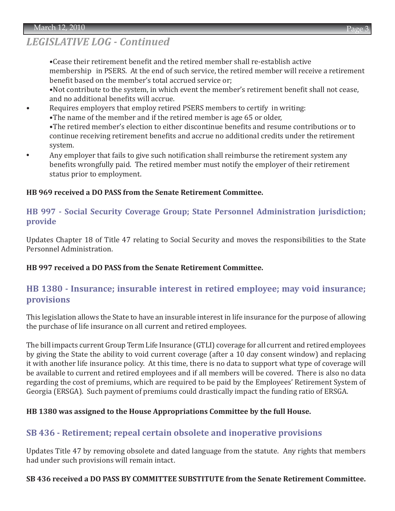# *LEGISLATIVE LOG - Continued*

 •Cease their retirement benefit and the retired member shall re-establish active membership in PSERS. At the end of such service, the retired member will receive a retirement benefit based on the member's total accrued service or;

 •Not contribute to the system, in which event the member's retirement benefit shall not cease, and no additional benefits will accrue.

• Requires employers that employ retired PSERS members to certify in writing:

•The name of the member and if the retired member is age 65 or older,

 •The retired member's election to either discontinue benefits and resume contributions or to continue receiving retirement benefits and accrue no additional credits under the retirement system.

**•** Any employer that fails to give such notification shall reimburse the retirement system any benefits wrongfully paid. The retired member must notify the employer of their retirement status prior to employment.

### **HB 969 received a DO PASS from the Senate Retirement Committee.**

### **[HB 997 - Social Security Coverage Group; State Personnel Administration jurisdiction;](http://www.legis.ga.gov/legis/2009_10/sum/hb997.htm) provide**

Updates Chapter 18 of Title 47 relating to Social Security and moves the responsibilities to the State Personnel Administration.

### **HB 997 received a DO PASS from the Senate Retirement Committee.**

## **[HB 1380 - Insurance; insurable interest in retired employee; may void insurance;](http://www.legis.ga.gov/legis/2009_10/sum/hb1380.htm) provisions**

This legislation allows the State to have an insurable interest in life insurance for the purpose of allowing the purchase of life insurance on all current and retired employees.

The bill impacts current Group Term Life Insurance (GTLI) coverage for all current and retired employees by giving the State the ability to void current coverage (after a 10 day consent window) and replacing it with another life insurance policy. At this time, there is no data to support what type of coverage will be available to current and retired employees and if all members will be covered. There is also no data regarding the cost of premiums, which are required to be paid by the Employees' Retirement System of Georgia (ERSGA). Such payment of premiums could drastically impact the funding ratio of ERSGA.

### **HB 1380 was assigned to the House Appropriations Committee by the full House.**

### **[SB 436 - Retirement; repeal certain obsolete and inoperative provisions](http://www.legis.ga.gov/legis/2009_10/sum/sb436.htm)**

Updates Title 47 by removing obsolete and dated language from the statute. Any rights that members had under such provisions will remain intact.

### **SB 436 received a DO PASS BY COMMITTEE SUBSTITUTE from the Senate Retirement Committee.**